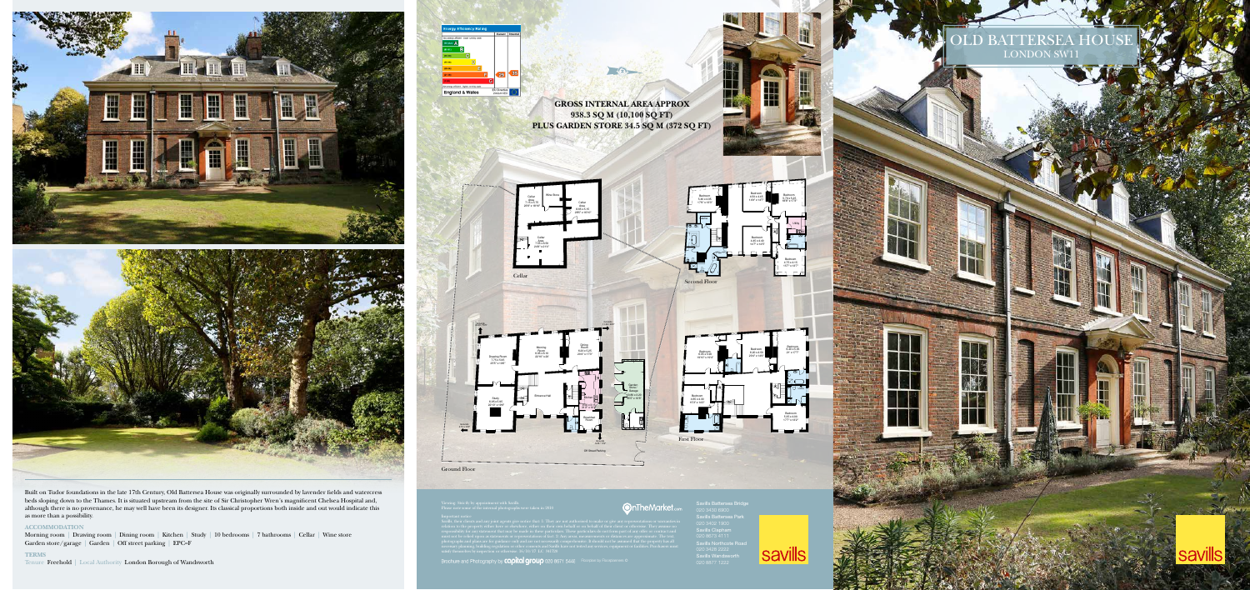**UERSE** LONDON SW11

**savills** 

020 3430 6900

Savills Battersea Park Savills Clapham 020 8673 4111 Savills Northcote Road Savills Wandsworth





**938.3 SQ M (10,100 SQ FT)**

 $\bigcap$ 







Built on Tudor foundations in the late 17th Century, Old Battersea House was originally surrounded by lavender fields and watercress beds sloping down to the Thames. It is situated upstream from the site of Sir Christopher Wren's magnificent Chelsea Hospital and, although there is no provenance, he may well have been its designer. Its classical proportions both inside and out would indicate this as more than a possibility.

## **ACCOMMODATION**

Morning room | Drawing room | Dining room | Kitchen | Study | 10 bedrooms | 7 bathrooms | Cellar | Wine store Garden store/garage | Garden | Off street parking | EPC=F

## **TERMS**

Tenure Freehold | Local Authority London Borough of Wandsworth



Viewing: Strictly by appointment with Savills. Please note some of the internal photographs were taken in 2010

photographs and plans are for guidance only and are not necessarily comprehensive. It should not be assumed that the property has all

necessary planning, building regulation or other consents and Savills have not tested any services, equipment or facilities. Purchasers must satisfy themselves by inspection or otherwise. 16/10/17 LC 341720

Brochure and Photography by Copital group 020 8671 5448 Floorplan by Floorplanners ©

Ground Floor



**OnTheMarket.co** 



Store /

Garage